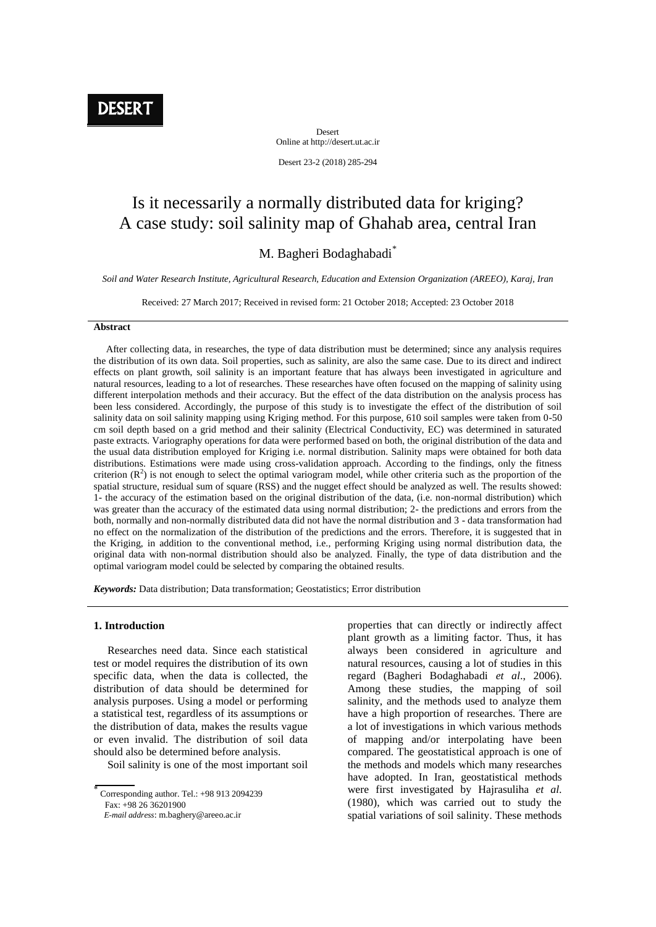Desert Online at http://desert.ut.ac.ir

Desert 23-2 (2018) 285-294

# Is it necessarily a normally distributed data for kriging? A case study: soil salinity map of Ghahab area, central Iran

## M. Bagheri Bodaghabadi\*

*Soil and Water Research Institute, Agricultural Research, Education and Extension Organization (AREEO), Karaj, Iran*

Received: 27 March 2017; Received in revised form: 21 October 2018; Accepted: 23 October 2018

#### **Abstract**

 After collecting data, in researches, the type of data distribution must be determined; since any analysis requires the distribution of its own data. Soil properties, such as salinity, are also the same case. Due to its direct and indirect effects on plant growth, soil salinity is an important feature that has always been investigated in agriculture and natural resources, leading to a lot of researches. These researches have often focused on the mapping of salinity using different interpolation methods and their accuracy. But the effect of the data distribution on the analysis process has been less considered. Accordingly, the purpose of this study is to investigate the effect of the distribution of soil salinity data on soil salinity mapping using Kriging method. For this purpose, 610 soil samples were taken from 0-50 cm soil depth based on a grid method and their salinity (Electrical Conductivity, EC) was determined in saturated paste extracts. Variography operations for data were performed based on both, the original distribution of the data and the usual data distribution employed for Kriging i.e. normal distribution. Salinity maps were obtained for both data distributions. Estimations were made using cross-validation approach. According to the findings, only the fitness criterion  $(R<sup>2</sup>)$  is not enough to select the optimal variogram model, while other criteria such as the proportion of the spatial structure, residual sum of square (RSS) and the nugget effect should be analyzed as well. The results showed: 1- the accuracy of the estimation based on the original distribution of the data, (i.e. non-normal distribution) which was greater than the accuracy of the estimated data using normal distribution; 2- the predictions and errors from the both, normally and non-normally distributed data did not have the normal distribution and 3 - data transformation had no effect on the normalization of the distribution of the predictions and the errors. Therefore, it is suggested that in the Kriging, in addition to the conventional method, i.e., performing Kriging using normal distribution data, the original data with non-normal distribution should also be analyzed. Finally, the type of data distribution and the optimal variogram model could be selected by comparing the obtained results.

*Keywords:* Data distribution; Data transformation; Geostatistics; Error distribution

## **1. Introduction**

 Researches need data. Since each statistical test or model requires the distribution of its own specific data, when the data is collected, the distribution of data should be determined for analysis purposes. Using a model or performing a statistical test, regardless of its assumptions or the distribution of data, makes the results vague or even invalid. The distribution of soil data should also be determined before analysis.

Soil salinity is one of the most important soil

properties that can directly or indirectly affect plant growth as a limiting factor. Thus, it has always been considered in agriculture and natural resources, causing a lot of studies in this regard (Bagheri Bodaghabadi *et al*., 2006). Among these studies, the mapping of soil salinity, and the methods used to analyze them have a high proportion of researches. There are a lot of investigations in which various methods of mapping and/or interpolating have been compared. The geostatistical approach is one of the methods and models which many researches have adopted. In Iran, geostatistical methods were first investigated by Hajrasuliha *et al*. (1980), which was carried out to study the spatial variations of soil salinity. These methods

<sup>÷</sup> Corresponding author. Tel.: +98 913 2094239 Fax: +98 26 36201900

*E-mail address*: m.baghery@areeo.ac.ir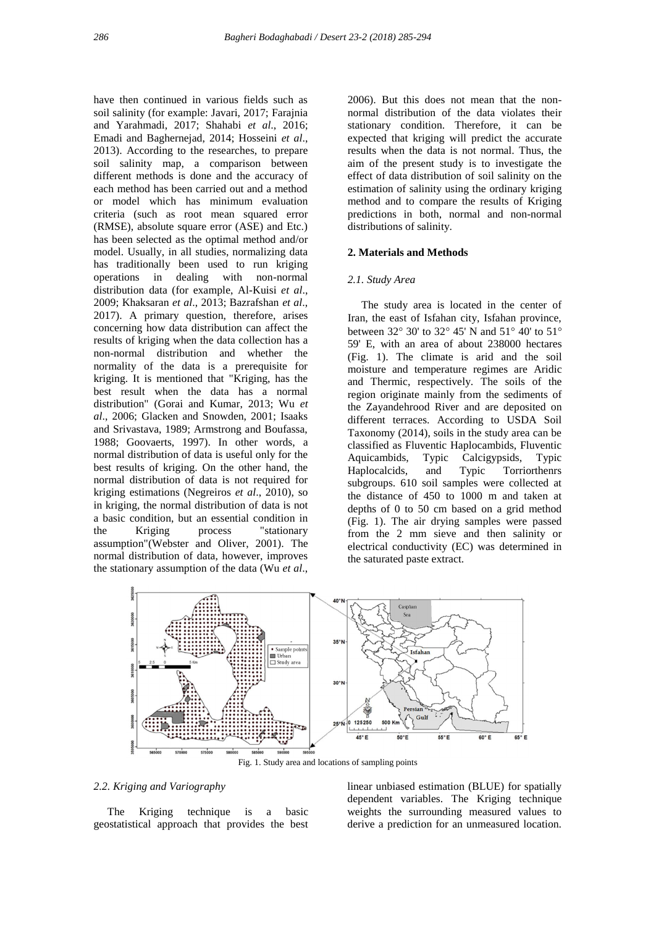have then continued in various fields such as soil salinity (for example: Javari, 2017; Farajnia and Yarahmadi, 2017; Shahabi *et al*., 2016; Emadi and Baghernejad, 2014; Hosseini *et al*., 2013). According to the researches, to prepare soil salinity map, a comparison between different methods is done and the accuracy of each method has been carried out and a method or model which has minimum evaluation criteria (such as root mean squared error (RMSE), absolute square error (ASE) and Etc.) has been selected as the optimal method and/or model. Usually, in all studies, normalizing data has traditionally been used to run kriging operations in dealing with non-normal distribution data (for example, Al-Kuisi *et al*., 2009; Khaksaran *et al*., 2013; Bazrafshan *et al*., 2017). A primary question, therefore, arises concerning how data distribution can affect the results of kriging when the data collection has a non-normal distribution and whether the normality of the data is a prerequisite for kriging. It is mentioned that "Kriging, has the best result when the data has a normal distribution" (Gorai and Kumar, 2013; Wu *et al*., 2006; Glacken and Snowden, 2001; Isaaks and Srivastava, 1989; Armstrong and Boufassa, 1988; Goovaerts, 1997). In other words, a normal distribution of data is useful only for the best results of kriging. On the other hand, the normal distribution of data is not required for kriging estimations (Negreiros *et al*., 2010), so in kriging, the normal distribution of data is not a basic condition, but an essential condition in the Kriging process "stationary assumption"(Webster and Oliver, 2001). The normal distribution of data, however, improves the stationary assumption of the data (Wu *et al*.,

2006). But this does not mean that the nonnormal distribution of the data violates their stationary condition. Therefore, it can be expected that kriging will predict the accurate results when the data is not normal. Thus, the aim of the present study is to investigate the effect of data distribution of soil salinity on the estimation of salinity using the ordinary kriging method and to compare the results of Kriging predictions in both, normal and non-normal distributions of salinity.

### **2. Materials and Methods**

#### *2.1. Study Area*

 The study area is located in the center of Iran, the east of Isfahan city, Isfahan province, between 32 $\degree$  30' to 32 $\degree$  45' N and 51 $\degree$  40' to 51 $\degree$ 59' E, with an area of about 238000 hectares (Fig. 1). The climate is arid and the soil moisture and temperature regimes are Aridic and Thermic, respectively. The soils of the region originate mainly from the sediments of the Zayandehrood River and are deposited on different terraces. According to USDA Soil Taxonomy (2014), soils in the study area can be classified as Fluventic Haplocambids, Fluventic Aquicambids, Typic Calcigypsids, Typic Haplocalcids, and Typic Torriorthenrs subgroups. 610 soil samples were collected at the distance of 450 to 1000 m and taken at depths of 0 to 50 cm based on a grid method (Fig. 1). The air drying samples were passed from the 2 mm sieve and then salinity or electrical conductivity (EC) was determined in the saturated paste extract.



Fig. 1. Study area and locations of sampling points

## *2.2. Kriging and Variography*

 The Kriging technique is a basic geostatistical approach that provides the best linear unbiased estimation (BLUE) for spatially dependent variables. The Kriging technique weights the surrounding measured values to derive a prediction for an unmeasured location.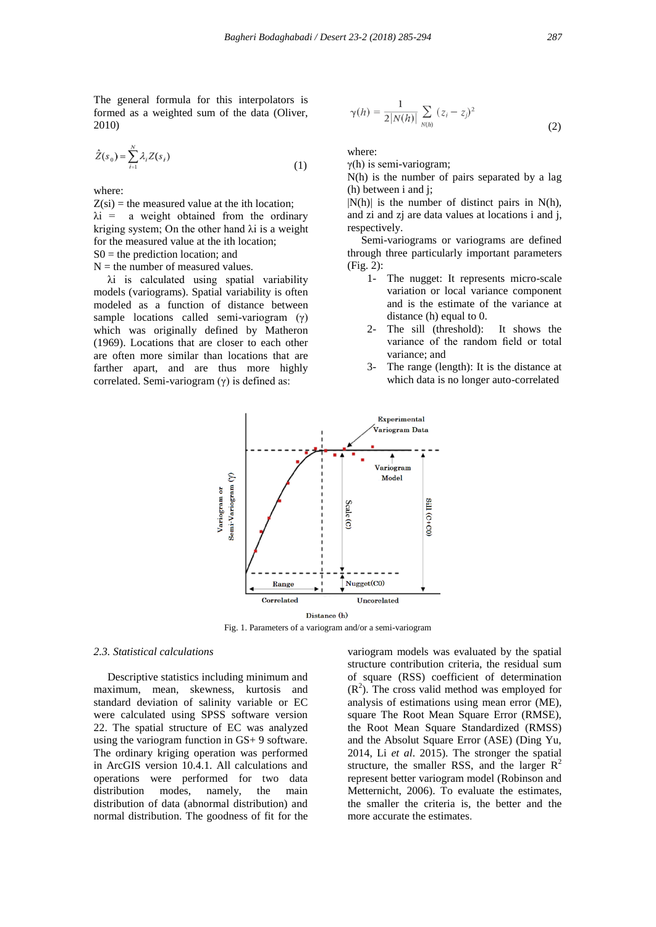The general formula for this interpolators is formed as a weighted sum of the data (Oliver, 2010)

$$
\hat{Z}(s_0) = \sum_{i=1}^{N} \lambda_i Z(s_i)
$$
\n(1)

where:

 $Z(s)$  = the measured value at the ith location;  $\lambda i$  = a weight obtained from the ordinary kriging system; On the other hand λi is a weight for the measured value at the ith location;  $S0$  = the prediction location; and

 $N =$  the number of measured values.

 λi is calculated using spatial variability models (variograms). Spatial variability is often modeled as a function of distance between sample locations called semi-variogram  $(γ)$ which was originally defined by Matheron (1969). Locations that are closer to each other are often more similar than locations that are farther apart, and are thus more highly correlated. Semi-variogram  $(\gamma)$  is defined as:

$$
\gamma(h) = \frac{1}{2|N(h)|} \sum_{N(h)} (z_i - z_j)^2
$$
 (2)

where:

γ(h) is semi-variogram;

N(h) is the number of pairs separated by a lag (h) between i and j;

 $|N(h)|$  is the number of distinct pairs in  $N(h)$ , and zi and zj are data values at locations i and j, respectively.

 Semi-variograms or variograms are defined through three particularly important parameters (Fig. 2):

- 1- The nugget: It represents micro-scale variation or local variance component and is the estimate of the variance at distance (h) equal to 0.
- 2- The sill (threshold): It shows the variance of the random field or total variance; and
- 3- The range (length): It is the distance at which data is no longer auto-correlated



Fig. 1. Parameters of a variogram and/or a semi-variogram

### *2.3. Statistical calculations*

 Descriptive statistics including minimum and maximum, mean, skewness, kurtosis and standard deviation of salinity variable or EC were calculated using SPSS software version 22. The spatial structure of EC was analyzed using the variogram function in GS+ 9 software. The ordinary kriging operation was performed in ArcGIS version 10.4.1. All calculations and operations were performed for two data distribution modes, namely, the main distribution of data (abnormal distribution) and normal distribution. The goodness of fit for the

variogram models was evaluated by the spatial structure contribution criteria, the residual sum of square (RSS) coefficient of determination  $(R<sup>2</sup>)$ . The cross valid method was employed for analysis of estimations using mean error (ME), square The Root Mean Square Error (RMSE), the Root Mean Square Standardized (RMSS) and the Absolut Square Error (ASE) (Ding Yu, 2014, Li *et al*. 2015). The stronger the spatial structure, the smaller RSS, and the larger  $R^2$ represent better variogram model (Robinson and Metternicht, 2006). To evaluate the estimates, the smaller the criteria is, the better and the more accurate the estimates.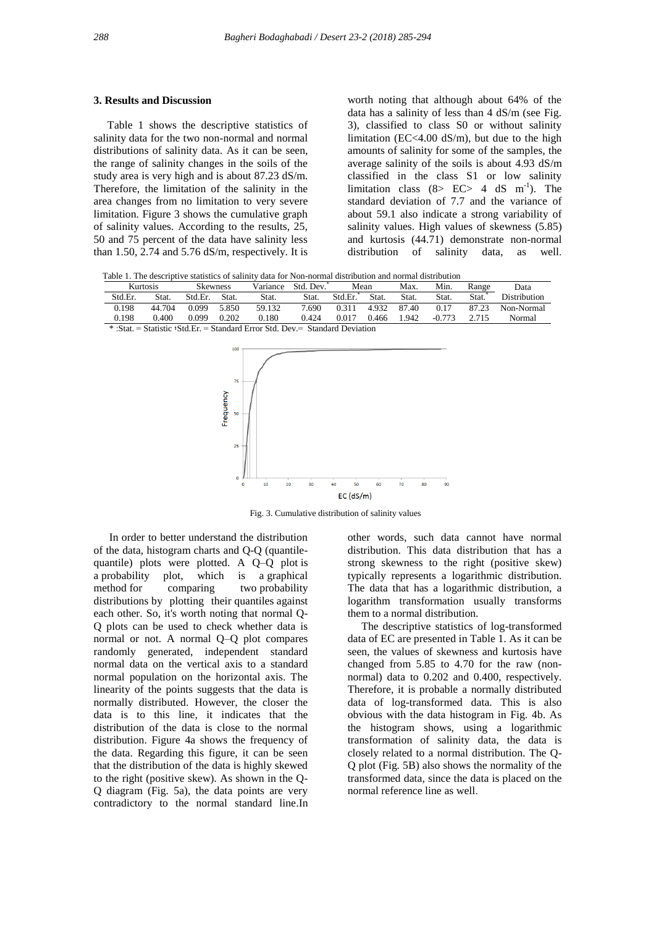## **3. Results and Discussion**

 Table 1 shows the descriptive statistics of salinity data for the two non-normal and normal distributions of salinity data. As it can be seen, the range of salinity changes in the soils of the study area is very high and is about 87.23 dS/m. Therefore, the limitation of the salinity in the area changes from no limitation to very severe limitation. Figure 3 shows the cumulative graph of salinity values. According to the results, 25, 50 and 75 percent of the data have salinity less than 1.50, 2.74 and 5.76 dS/m, respectively. It is

worth noting that although about 64% of the data has a salinity of less than 4 dS/m (see Fig. 3), classified to class S0 or without salinity limitation (EC<4.00 dS/m), but due to the high amounts of salinity for some of the samples, the average salinity of the soils is about 4.93 dS/m classified in the class S1 or low salinity limitation class  $(8 > EC > 4 dS m^{-1})$ . The standard deviation of 7.7 and the variance of about 59.1 also indicate a strong variability of salinity values. High values of skewness (5.85) and kurtosis (44.71) demonstrate non-normal distribution of salinity data, as well.

|--|

| Kurtosis |        | Skewness |       | Variance | Std. Dev. | Mean    |       | Max.  | Min.     | Range | Data         |
|----------|--------|----------|-------|----------|-----------|---------|-------|-------|----------|-------|--------------|
| Std.Er.  | Stat.  | Std.Er.  | Stat. | Stat.    | Stat.     | Std.Er. | Stat. | Stat. | Stat.    | Stat. | Distribution |
| 0.198    | 44.704 | 0.099    | 5.850 | 59.132   | 7.690     | 0.311   | 4.932 | 87.40 | 0.17     | 87.23 | Non-Normal   |
| 0.198    | 0.400  | 0.099    | 0.202 | 0.180    | 0.424     | 0.017   | 0.466 | .942  | $-0.773$ | 2.715 | Normal       |



Fig. 3. Cumulative distribution of salinity values

In order to better understand the distribution of the data, histogram charts and Q-Q (quantilequantile) plots were plotted. A Q–Q plot is a probability plot, which is a graphical method for comparing two probability distributions by plotting their quantiles against each other. So, it's worth noting that normal Q-Q plots can be used to check whether data is normal or not. A normal Q–Q plot compares randomly generated, independent standard normal data on the vertical axis to a standard normal population on the horizontal axis. The linearity of the points suggests that the data is normally distributed. However, the closer the data is to this line, it indicates that the distribution of the data is close to the normal distribution. Figure 4a shows the frequency of the data. Regarding this figure, it can be seen that the distribution of the data is highly skewed to the right (positive skew). As shown in the Q-Q diagram (Fig. 5a), the data points are very contradictory to the normal standard line.In other words, such data cannot have normal distribution. This data distribution that has a strong skewness to the right (positive skew) typically represents a logarithmic distribution. The data that has a logarithmic distribution, a logarithm transformation usually transforms them to a normal distribution.

 The descriptive statistics of log-transformed data of EC are presented in Table 1. As it can be seen, the values of skewness and kurtosis have changed from 5.85 to 4.70 for the raw (nonnormal) data to 0.202 and 0.400, respectively. Therefore, it is probable a normally distributed data of log-transformed data. This is also obvious with the data histogram in Fig. 4b. As the histogram shows, using a logarithmic transformation of salinity data, the data is closely related to a normal distribution. The Q-Q plot (Fig. 5B) also shows the normality of the transformed data, since the data is placed on the normal reference line as well.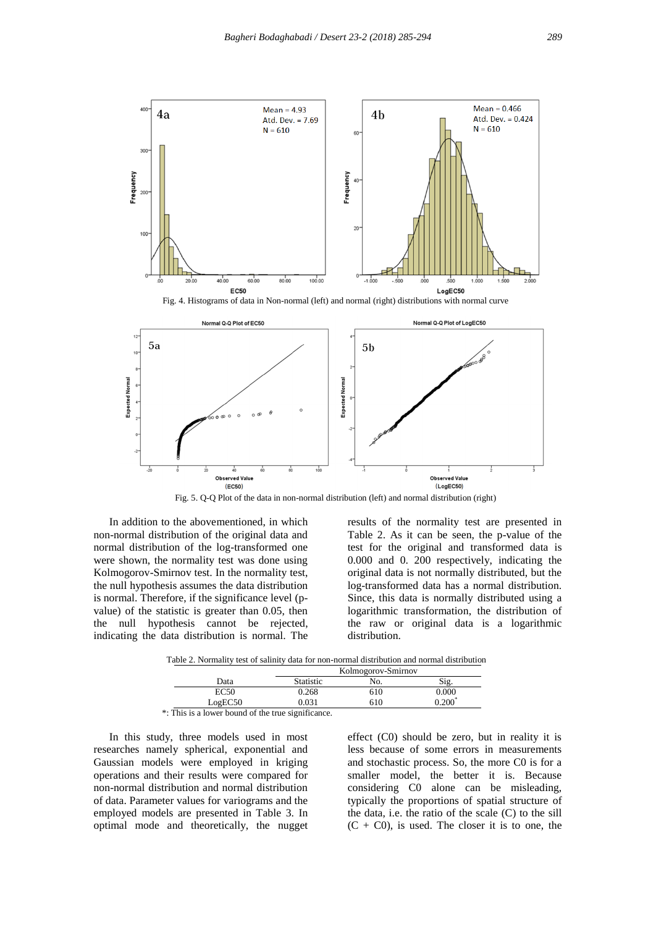



Fig. 5. Q-Q Plot of the data in non-normal distribution (left) and normal distribution (right)

In addition to the abovementioned, in which non-normal distribution of the original data and normal distribution of the log-transformed one were shown, the normality test was done using Kolmogorov-Smirnov test. In the normality test, the null hypothesis assumes the data distribution is normal. Therefore, if the significance level (pvalue) of the statistic is greater than 0.05, then the null hypothesis cannot be rejected, indicating the data distribution is normal. The

results of the normality test are presented in Table 2. As it can be seen, the p-value of the test for the original and transformed data is 0.000 and 0. 200 respectively, indicating the original data is not normally distributed, but the log-transformed data has a normal distribution. Since, this data is normally distributed using a logarithmic transformation, the distribution of the raw or original data is a logarithmic distribution.

| Table 2. Normality test of salinity data for non-normal distribution and normal distribution |                    |  |  |  |  |  |  |  |
|----------------------------------------------------------------------------------------------|--------------------|--|--|--|--|--|--|--|
|                                                                                              | Kolmogorov-Smirnov |  |  |  |  |  |  |  |

|                                                    | <b>IVOIHIO COLO V-OTHILIO V</b> |     |          |  |  |  |  |  |
|----------------------------------------------------|---------------------------------|-----|----------|--|--|--|--|--|
| Data                                               | <b>Statistic</b>                | No. | Sig      |  |  |  |  |  |
| EC50                                               | 0.268                           | 610 | 0.000    |  |  |  |  |  |
| LogEC50                                            | 0.031                           | 610 | $0.200*$ |  |  |  |  |  |
| *: This is a lower bound of the true significance. |                                 |     |          |  |  |  |  |  |

In this study, three models used in most researches namely spherical, exponential and Gaussian models were employed in kriging operations and their results were compared for non-normal distribution and normal distribution of data. Parameter values for variograms and the employed models are presented in Table 3. In optimal mode and theoretically, the nugget effect (C0) should be zero, but in reality it is less because of some errors in measurements and stochastic process. So, the more C0 is for a smaller model, the better it is. Because considering C0 alone can be misleading, typically the proportions of spatial structure of the data, i.e. the ratio of the scale (C) to the sill  $(C + CO)$ , is used. The closer it is to one, the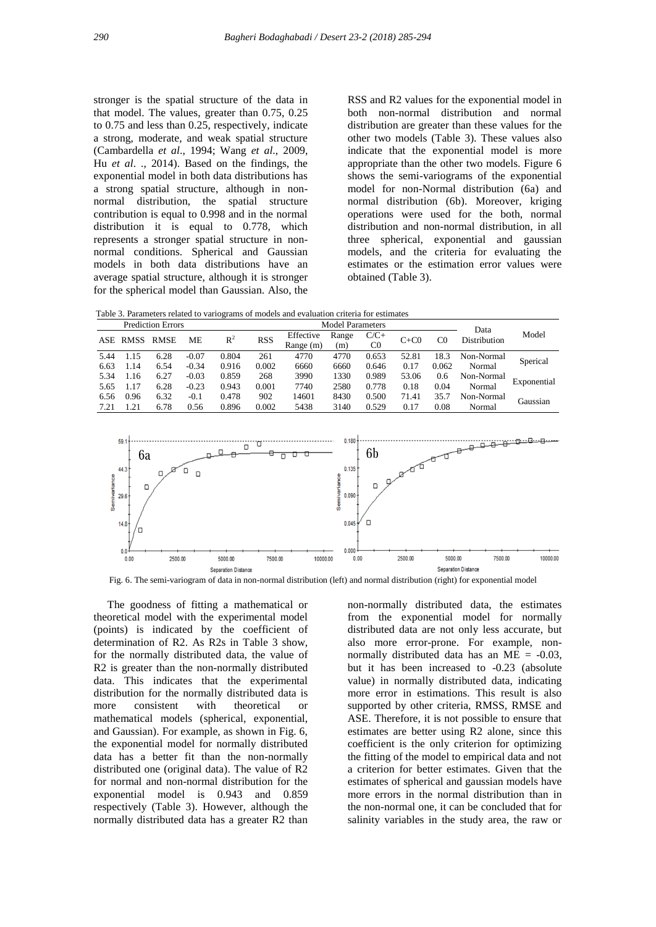stronger is the spatial structure of the data in that model. The values, greater than 0.75, 0.25 to 0.75 and less than 0.25, respectively, indicate a strong, moderate, and weak spatial structure (Cambardella *et al*., 1994; Wang *et al*., 2009, Hu *et al*. ., 2014). Based on the findings, the exponential model in both data distributions has a strong spatial structure, although in nonnormal distribution, the spatial structure contribution is equal to 0.998 and in the normal distribution it is equal to 0.778, which represents a stronger spatial structure in nonnormal conditions. Spherical and Gaussian models in both data distributions have an average spatial structure, although it is stronger for the spherical model than Gaussian. Also, the

RSS and R2 values for the exponential model in both non-normal distribution and normal distribution are greater than these values for the other two models (Table 3). These values also indicate that the exponential model is more appropriate than the other two models. Figure 6 shows the semi-variograms of the exponential model for non-Normal distribution (6a) and normal distribution (6b). Moreover, kriging operations were used for the both, normal distribution and non-normal distribution, in all three spherical, exponential and gaussian models, and the criteria for evaluating the estimates or the estimation error values were obtained (Table 3).

Table 3. Parameters related to variograms of models and evaluation criteria for estimates

| <b>Prediction Errors</b> |             |             |         |       | <b>Model Parameters</b> |                          |              |              |        |       | Data                |             |
|--------------------------|-------------|-------------|---------|-------|-------------------------|--------------------------|--------------|--------------|--------|-------|---------------------|-------------|
| ASE                      | <b>RMSS</b> | <b>RMSE</b> | ME      | $R^2$ | <b>RSS</b>              | Effective<br>Range $(m)$ | Range<br>(m) | $C/C+$<br>C0 | $C+C0$ | C0    | <b>Distribution</b> | Model       |
| 5.44                     | l.15        | 6.28        | $-0.07$ | 0.804 | 261                     | 4770                     | 4770         | 0.653        | 52.81  | 18.3  | Non-Normal          | Sperical    |
| 6.63                     | 1.14        | 6.54        | $-0.34$ | 0.916 | 0.002                   | 6660                     | 6660         | 0.646        | 0.17   | 0.062 | Normal              |             |
| 5.34                     | .16         | 6.27        | $-0.03$ | 0.859 | 268                     | 3990                     | 1330         | 0.989        | 53.06  | 0.6   | Non-Normal          |             |
| 5.65                     | .17         | 6.28        | $-0.23$ | 0.943 | 0.001                   | 7740                     | 2580         | 0.778        | 0.18   | 0.04  | Normal              | Exponential |
| 6.56                     | 0.96        | 6.32        | $-0.1$  | 0.478 | 902                     | 14601                    | 8430         | 0.500        | 71.41  | 35.7  | Non-Normal          |             |
| 7.21                     | .21         | 6.78        | 0.56    | 0.896 | 0.002                   | 5438                     | 3140         | 0.529        | 0.17   | 0.08  | Normal              | Gaussian    |



Fig. 6. The semi-variogram of data in non-normal distribution (left) and normal distribution (right) for exponential model

 The goodness of fitting a mathematical or theoretical model with the experimental model (points) is indicated by the coefficient of determination of R2. As R2s in Table 3 show, for the normally distributed data, the value of R2 is greater than the non-normally distributed data. This indicates that the experimental distribution for the normally distributed data is more consistent with theoretical or mathematical models (spherical, exponential, and Gaussian). For example, as shown in Fig. 6, the exponential model for normally distributed data has a better fit than the non-normally distributed one (original data). The value of R2 for normal and non-normal distribution for the exponential model is 0.943 and 0.859 respectively (Table 3). However, although the normally distributed data has a greater R2 than

non-normally distributed data, the estimates from the exponential model for normally distributed data are not only less accurate, but also more error-prone. For example, nonnormally distributed data has an  $ME = -0.03$ , but it has been increased to -0.23 (absolute value) in normally distributed data, indicating more error in estimations. This result is also supported by other criteria, RMSS, RMSE and ASE. Therefore, it is not possible to ensure that estimates are better using R2 alone, since this coefficient is the only criterion for optimizing the fitting of the model to empirical data and not a criterion for better estimates. Given that the estimates of spherical and gaussian models have more errors in the normal distribution than in the non-normal one, it can be concluded that for salinity variables in the study area, the raw or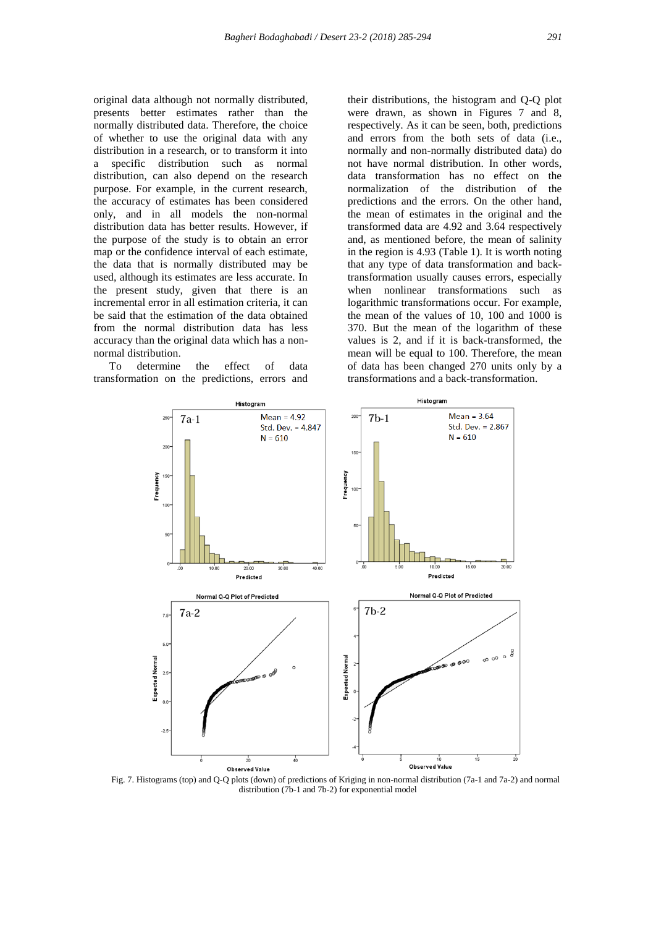original data although not normally distributed, presents better estimates rather than the normally distributed data. Therefore, the choice of whether to use the original data with any distribution in a research, or to transform it into a specific distribution such as normal distribution, can also depend on the research purpose. For example, in the current research, the accuracy of estimates has been considered only, and in all models the non-normal distribution data has better results. However, if the purpose of the study is to obtain an error map or the confidence interval of each estimate, the data that is normally distributed may be used, although its estimates are less accurate. In the present study, given that there is an incremental error in all estimation criteria, it can be said that the estimation of the data obtained from the normal distribution data has less accuracy than the original data which has a nonnormal distribution.

To determine the effect of data transformation on the predictions, errors and their distributions, the histogram and Q-Q plot were drawn, as shown in Figures 7 and 8, respectively. As it can be seen, both, predictions and errors from the both sets of data (i.e., normally and non-normally distributed data) do not have normal distribution. In other words, data transformation has no effect on the normalization of the distribution of the predictions and the errors. On the other hand, the mean of estimates in the original and the transformed data are 4.92 and 3.64 respectively and, as mentioned before, the mean of salinity in the region is 4.93 (Table 1). It is worth noting that any type of data transformation and backtransformation usually causes errors, especially when nonlinear transformations such as logarithmic transformations occur. For example, the mean of the values of 10, 100 and 1000 is 370. But the mean of the logarithm of these values is 2, and if it is back-transformed, the mean will be equal to 100. Therefore, the mean of data has been changed 270 units only by a transformations and a back-transformation.



Fig. 7. Histograms (top) and Q-Q plots (down) of predictions of Kriging in non-normal distribution (7a-1 and 7a-2) and normal distribution (7b-1 and 7b-2) for exponential model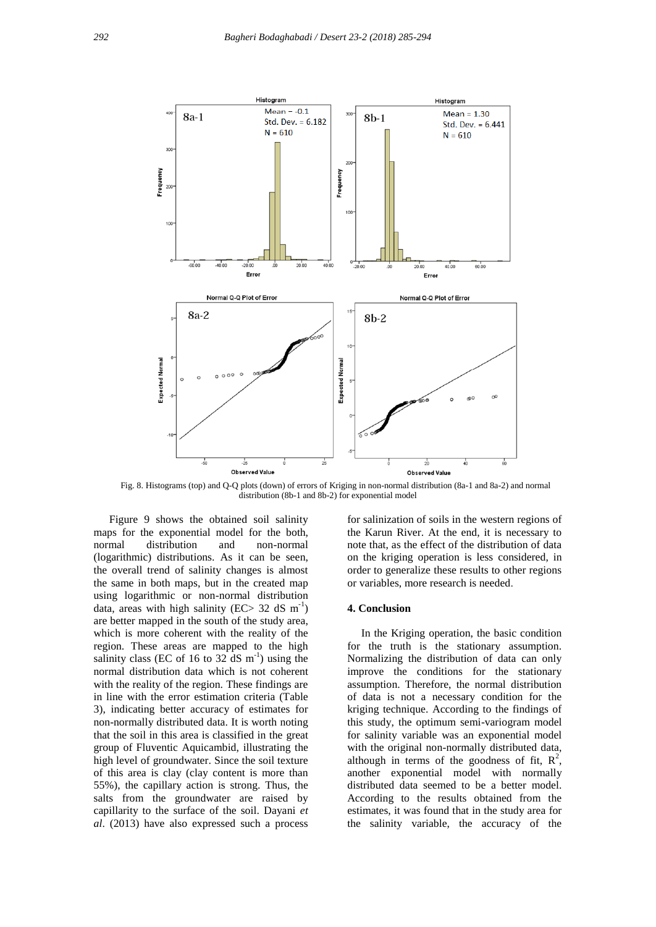

Fig. 8. Histograms (top) and Q-Q plots (down) of errors of Kriging in non-normal distribution (8a-1 and 8a-2) and normal distribution (8b-1 and 8b-2) for exponential model

Figure 9 shows the obtained soil salinity maps for the exponential model for the both, normal distribution and non-normal (logarithmic) distributions. As it can be seen, the overall trend of salinity changes is almost the same in both maps, but in the created map using logarithmic or non-normal distribution data, areas with high salinity (EC> 32 dS  $m^{-1}$ ) are better mapped in the south of the study area, which is more coherent with the reality of the region. These areas are mapped to the high salinity class (EC of 16 to  $32 \text{ dS m}^{-1}$ ) using the normal distribution data which is not coherent with the reality of the region. These findings are in line with the error estimation criteria (Table 3), indicating better accuracy of estimates for non-normally distributed data. It is worth noting that the soil in this area is classified in the great group of Fluventic Aquicambid, illustrating the high level of groundwater. Since the soil texture of this area is clay (clay content is more than 55%), the capillary action is strong. Thus, the salts from the groundwater are raised by capillarity to the surface of the soil. Dayani *et al*. (2013) have also expressed such a process

for salinization of soils in the western regions of the Karun River. At the end, it is necessary to note that, as the effect of the distribution of data on the kriging operation is less considered, in order to generalize these results to other regions or variables, more research is needed.

## **4. Conclusion**

 In the Kriging operation, the basic condition for the truth is the stationary assumption. Normalizing the distribution of data can only improve the conditions for the stationary assumption. Therefore, the normal distribution of data is not a necessary condition for the kriging technique. According to the findings of this study, the optimum semi-variogram model for salinity variable was an exponential model with the original non-normally distributed data, although in terms of the goodness of fit,  $R^2$ , another exponential model with normally distributed data seemed to be a better model. According to the results obtained from the estimates, it was found that in the study area for the salinity variable, the accuracy of the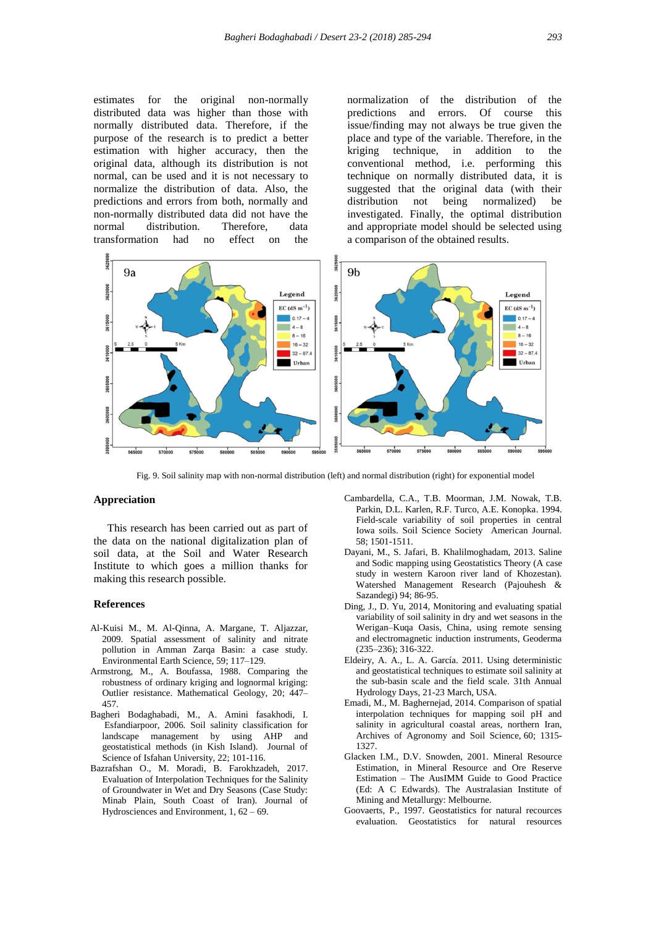estimates for the original non-normally distributed data was higher than those with normally distributed data. Therefore, if the purpose of the research is to predict a better estimation with higher accuracy, then the original data, although its distribution is not normal, can be used and it is not necessary to normalize the distribution of data. Also, the predictions and errors from both, normally and non-normally distributed data did not have the normal distribution Therefore data transformation had no effect on the

normalization of the distribution of the predictions and errors. Of course this issue/finding may not always be true given the place and type of the variable. Therefore, in the kriging technique, in addition to the conventional method, i.e. performing this technique on normally distributed data, it is suggested that the original data (with their distribution not being normalized) be investigated. Finally, the optimal distribution and appropriate model should be selected using a comparison of the obtained results.



Fig. 9. Soil salinity map with non-normal distribution (left) and normal distribution (right) for exponential model

## **Appreciation**

 This research has been carried out as part of the data on the national digitalization plan of soil data, at the Soil and Water Research Institute to which goes a million thanks for making this research possible.

#### **References**

- Al-Kuisi M., M. Al-Qinna, A. Margane, T. Aljazzar, 2009. Spatial assessment of salinity and nitrate pollution in Amman Zarqa Basin: a case study. Environmental Earth Science, 59; 117–129.
- Armstrong, M., A. Boufassa, 1988. Comparing the robustness of ordinary kriging and lognormal kriging: Outlier resistance. Mathematical Geology, 20; 447– 457.
- Bagheri Bodaghabadi, M., A. Amini fasakhodi, I. Esfandiarpoor, 2006. Soil salinity classification for landscape management by using AHP and geostatistical methods (in Kish Island). Journal of Science of Isfahan University, 22; 101-116.
- Bazrafshan O., M. Moradi, B. Farokhzadeh, 2017. Evaluation of Interpolation Techniques for the Salinity of Groundwater in Wet and Dry Seasons (Case Study: Minab Plain, South Coast of Iran). Journal of Hydrosciences and Environment, 1, 62 – 69.
- Cambardella, C.A., T.B. Moorman, J.M. Nowak, T.B. Parkin, D.L. Karlen, R.F. Turco, A.E. Konopka. 1994. Field-scale variability of soil properties in central Iowa soils. Soil Science Society American Journal. 58; 1501-1511.
- Dayani, M., S. Jafari, B. Khalilmoghadam, 2013. Saline and Sodic mapping using Geostatistics Theory (A case study in western Karoon river land of Khozestan). Watershed Management Research (Pajouhesh & Sazandegi) 94; 86-95.
- Ding, J., D. Yu, 2014, Monitoring and evaluating spatial variability of soil salinity in dry and wet seasons in the Werigan–Kuqa Oasis, China, using remote sensing and electromagnetic induction instruments, Geoderma (235–236); 316-322.
- Eldeiry, A. A., L. A. García. 2011. Using deterministic and geostatistical techniques to estimate soil salinity at the sub-basin scale and the field scale. 31th Annual Hydrology Days, 21-23 March, USA.
- Emadi, M., M. Baghernejad, 2014. Comparison of spatial interpolation techniques for mapping soil pH and salinity in agricultural coastal areas, northern Iran, Archives of Agronomy and Soil Science, 60; 1315- 1327.
- Glacken I.M., D.V. Snowden, 2001. Mineral Resource Estimation, in Mineral Resource and Ore Reserve Estimation – The AusIMM Guide to Good Practice (Ed: A C Edwards). The Australasian Institute of Mining and Metallurgy: Melbourne.
- Goovaerts, P., 1997. Geostatistics for natural recources evaluation. Geostatistics for natural resources